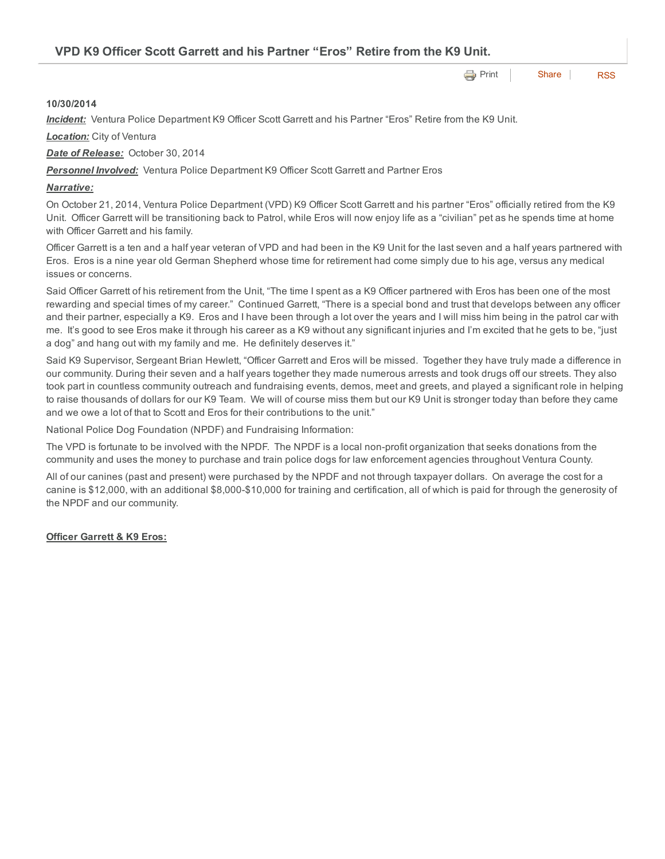**[Print](http://www.cityofventura.net/print/16206) | [Share](javascript:void(0)) | [RSS](http://www.cityofventura.net/feed/press_release/rss.xml)** VPD K9 Officer Scott Garrett and his Partner "Eros" Retire from the K9 Unit.

## 10/30/2014

*Incident:* Ventura Police Department K9 Officer Scott Garrett and his Partner "Eros" Retire from the K9 Unit.

*Location:* City of Ventura

*Date of Release:* October 30, 2014

**Personnel Involved:** Ventura Police Department K9 Officer Scott Garrett and Partner Eros

## *Narrative:*

On October 21, 2014, Ventura Police Department (VPD) K9 Officer Scott Garrett and his partner "Eros" officially retired from the K9 Unit. Officer Garrett will be transitioning back to Patrol, while Eros will now enjoy life as a "civilian" pet as he spends time at home with Officer Garrett and his family.

Officer Garrett is a ten and a half year veteran of VPD and had been in the K9 Unit for the last seven and a half years partnered with Eros. Eros is a nine year old German Shepherd whose time for retirement had come simply due to his age, versus any medical issues or concerns.

Said Officer Garrett of his retirement from the Unit, "The time I spent as a K9 Officer partnered with Eros has been one of the most rewarding and special times of my career." Continued Garrett, "There is a special bond and trust that develops between any officer and their partner, especially a K9. Eros and I have been through a lot over the years and I will miss him being in the patrol car with me. It's good to see Eros make it through his career as a K9 without any significant injuries and I'm excited that he gets to be, "just a dog" and hang out with my family and me. He definitely deserves it."

Said K9 Supervisor, Sergeant Brian Hewlett, "Officer Garrett and Eros will be missed. Together they have truly made a difference in our community. During their seven and a half years together they made numerous arrests and took drugs off our streets. They also took part in countless community outreach and fundraising events, demos, meet and greets, and played a significant role in helping to raise thousands of dollars for our K9 Team. We will of course miss them but our K9 Unit is stronger today than before they came and we owe a lot of that to Scott and Eros for their contributions to the unit."

National Police Dog Foundation (NPDF) and Fundraising Information:

The VPD is fortunate to be involved with the NPDF. The NPDF is a local non-profit organization that seeks donations from the community and uses the money to purchase and train police dogs for law enforcement agencies throughout Ventura County.

All of our canines (past and present) were purchased by the NPDF and not through taxpayer dollars. On average the cost for a canine is \$12,000, with an additional \$8,000-\$10,000 for training and certification, all of which is paid for through the generosity of the NPDF and our community.

## **Officer Garrett & K9 Eros:**